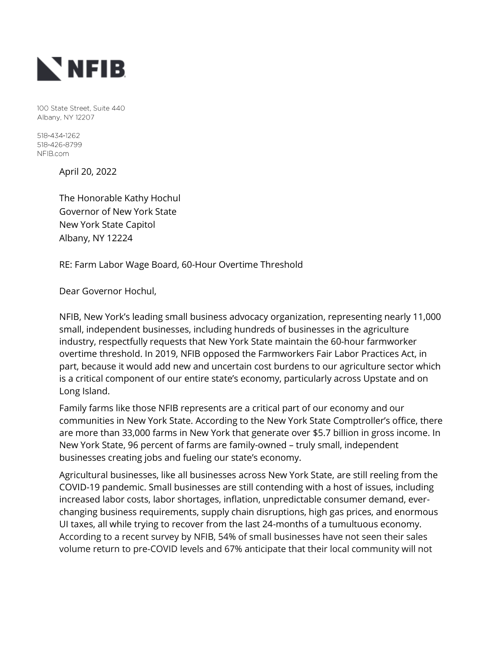

100 State Street, Suite 440 Albany, NY 12207

518-434-1262 518-426-8799 NFIB.com

April 20, 2022

The Honorable Kathy Hochul Governor of New York State New York State Capitol Albany, NY 12224

RE: Farm Labor Wage Board, 60-Hour Overtime Threshold

Dear Governor Hochul,

NFIB, New York's leading small business advocacy organization, representing nearly 11,000 small, independent businesses, including hundreds of businesses in the agriculture industry, respectfully requests that New York State maintain the 60-hour farmworker overtime threshold. In 2019, NFIB opposed the Farmworkers Fair Labor Practices Act, in part, because it would add new and uncertain cost burdens to our agriculture sector which is a critical component of our entire state's economy, particularly across Upstate and on Long Island.

Family farms like those NFIB represents are a critical part of our economy and our communities in New York State. According to the New York State Comptroller's office, there are more than 33,000 farms in New York that generate over \$5.7 billion in gross income. In New York State, 96 percent of farms are family-owned – truly small, independent businesses creating jobs and fueling our state's economy.

Agricultural businesses, like all businesses across New York State, are still reeling from the COVID-19 pandemic. Small businesses are still contending with a host of issues, including increased labor costs, labor shortages, inflation, unpredictable consumer demand, everchanging business requirements, supply chain disruptions, high gas prices, and enormous UI taxes, all while trying to recover from the last 24-months of a tumultuous economy. According to a recent survey by NFIB, 54% of small businesses have not seen their sales volume return to pre-COVID levels and 67% anticipate that their local community will not